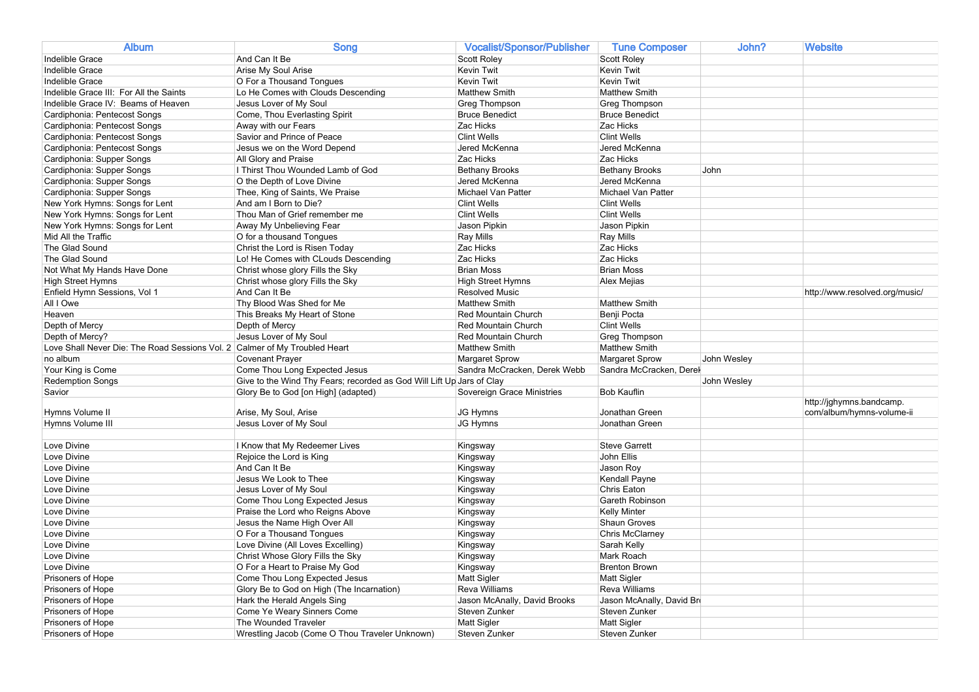| <b>Album</b>                                                               | <b>Song</b>                                                           | Vocalist/Sponsor/Publisher          | <b>Tune Composer</b>                | John?       | Website                        |
|----------------------------------------------------------------------------|-----------------------------------------------------------------------|-------------------------------------|-------------------------------------|-------------|--------------------------------|
| Indelible Grace                                                            | And Can It Be                                                         | <b>Scott Roley</b>                  | Scott Roley                         |             |                                |
| Indelible Grace                                                            | Arise My Soul Arise                                                   | Kevin Twit                          | Kevin Twit                          |             |                                |
| Indelible Grace                                                            | O For a Thousand Tongues                                              | Kevin Twit                          | <b>Kevin Twit</b>                   |             |                                |
| Indelible Grace III: For All the Saints                                    | Lo He Comes with Clouds Descending                                    | <b>Matthew Smith</b>                | <b>Matthew Smith</b>                |             |                                |
| Indelible Grace IV: Beams of Heaven                                        | Jesus Lover of My Soul                                                | Greg Thompson                       | <b>Greg Thompson</b>                |             |                                |
| Cardiphonia: Pentecost Songs                                               | Come, Thou Everlasting Spirit                                         | <b>Bruce Benedict</b>               | <b>Bruce Benedict</b>               |             |                                |
| Cardiphonia: Pentecost Songs                                               | Away with our Fears                                                   | Zac Hicks                           | Zac Hicks                           |             |                                |
| Cardiphonia: Pentecost Songs                                               | Savior and Prince of Peace                                            | <b>Clint Wells</b>                  | <b>Clint Wells</b>                  |             |                                |
| Cardiphonia: Pentecost Songs                                               | Jesus we on the Word Depend                                           | Jered McKenna                       | Jered McKenna                       |             |                                |
| Cardiphonia: Supper Songs                                                  | All Glory and Praise                                                  | Zac Hicks                           | Zac Hicks                           |             |                                |
| Cardiphonia: Supper Songs                                                  | I Thirst Thou Wounded Lamb of God                                     | <b>Bethany Brooks</b>               | <b>Bethany Brooks</b>               | John        |                                |
| Cardiphonia: Supper Songs                                                  | O the Depth of Love Divine                                            | Jered McKenna                       | Jered McKenna                       |             |                                |
| Cardiphonia: Supper Songs                                                  | Thee, King of Saints, We Praise                                       | Michael Van Patter                  | Michael Van Patter                  |             |                                |
| New York Hymns: Songs for Lent                                             | And am I Born to Die?                                                 | <b>Clint Wells</b>                  | <b>Clint Wells</b>                  |             |                                |
| New York Hymns: Songs for Lent                                             | Thou Man of Grief remember me                                         | <b>Clint Wells</b>                  | <b>Clint Wells</b>                  |             |                                |
|                                                                            |                                                                       |                                     |                                     |             |                                |
| New York Hymns: Songs for Lent<br>Mid All the Traffic                      | Away My Unbelieving Fear                                              | Jason Pipkin                        | Jason Pipkin                        |             |                                |
|                                                                            | O for a thousand Tongues                                              | Ray Mills                           | <b>Ray Mills</b>                    |             |                                |
| The Glad Sound                                                             | Christ the Lord is Risen Today                                        | Zac Hicks                           | Zac Hicks                           |             |                                |
| The Glad Sound                                                             | Lo! He Comes with CLouds Descending                                   | Zac Hicks                           | Zac Hicks                           |             |                                |
| Not What My Hands Have Done                                                | Christ whose glory Fills the Sky                                      | <b>Brian Moss</b>                   | <b>Brian Moss</b>                   |             |                                |
| High Street Hymns                                                          | Christ whose glory Fills the Sky                                      | High Street Hymns                   | Alex Mejias                         |             |                                |
| Enfield Hymn Sessions, Vol 1                                               | And Can It Be                                                         | <b>Resolved Music</b>               |                                     |             | http://www.resolved.org/music/ |
| All I Owe                                                                  | Thy Blood Was Shed for Me                                             | <b>Matthew Smith</b>                | <b>Matthew Smith</b>                |             |                                |
| Heaven                                                                     | This Breaks My Heart of Stone                                         | Red Mountain Church                 | Benji Pocta                         |             |                                |
| Depth of Mercy                                                             | Depth of Mercy                                                        | <b>Red Mountain Church</b>          | <b>Clint Wells</b>                  |             |                                |
| Depth of Mercy?                                                            | Jesus Lover of My Soul                                                | Red Mountain Church                 | Greg Thompson                       |             |                                |
| Love Shall Never Die: The Road Sessions Vol. 2 Calmer of My Troubled Heart |                                                                       | <b>Matthew Smith</b>                | <b>Matthew Smith</b>                |             |                                |
| no album                                                                   | <b>Covenant Prayer</b>                                                | <b>Margaret Sprow</b>               | <b>Margaret Sprow</b>               | John Wesley |                                |
| Your King is Come                                                          | Come Thou Long Expected Jesus                                         | Sandra McCracken, Derek Webb        | Sandra McCracken, Derel             |             |                                |
| <b>Redemption Songs</b>                                                    | Give to the Wind Thy Fears; recorded as God Will Lift Up Jars of Clay |                                     |                                     | John Wesley |                                |
| Savior                                                                     | Glory Be to God [on High] (adapted)                                   | Sovereign Grace Ministries          | <b>Bob Kauflin</b>                  |             |                                |
|                                                                            |                                                                       |                                     |                                     |             | http://jghymns.bandcamp.       |
| Hymns Volume II                                                            | Arise, My Soul, Arise                                                 | <b>JG Hymns</b>                     | Jonathan Green                      |             | com/album/hymns-volume-ii      |
| Hymns Volume III                                                           | Jesus Lover of My Soul                                                | JG Hymns                            | Jonathan Green                      |             |                                |
|                                                                            |                                                                       |                                     |                                     |             |                                |
| Love Divine                                                                | I Know that My Redeemer Lives                                         | Kingsway                            | <b>Steve Garrett</b>                |             |                                |
| Love Divine                                                                | Rejoice the Lord is King                                              | Kingsway                            | John Ellis                          |             |                                |
| Love Divine                                                                | And Can It Be                                                         | Kingsway                            | Jason Roy                           |             |                                |
| Love Divine                                                                | Jesus We Look to Thee                                                 | Kingsway                            | Kendall Payne                       |             |                                |
| Love Divine                                                                | Jesus Lover of My Soul                                                | Kingsway                            | Chris Eaton                         |             |                                |
| Love Divine                                                                | Come Thou Long Expected Jesus                                         | Kingsway                            | Gareth Robinson                     |             |                                |
| Love Divine                                                                | Praise the Lord who Reigns Above                                      | Kingsway                            | <b>Kelly Minter</b>                 |             |                                |
| Love Divine                                                                | Jesus the Name High Over All                                          | Kingsway                            | Shaun Groves                        |             |                                |
| Love Divine                                                                | O For a Thousand Tongues                                              | Kingsway                            | Chris McClarney                     |             |                                |
| Love Divine                                                                | Love Divine (All Loves Excelling)                                     | Kingsway                            | Sarah Kelly                         |             |                                |
| Love Divine                                                                | Christ Whose Glory Fills the Sky                                      | Kingsway                            | Mark Roach                          |             |                                |
| Love Divine                                                                | O For a Heart to Praise My God                                        | Kingsway                            | <b>Brenton Brown</b>                |             |                                |
| Prisoners of Hope                                                          |                                                                       |                                     |                                     |             |                                |
|                                                                            | Come Thou Long Expected Jesus                                         | <b>Matt Sigler</b>                  | <b>Matt Sigler</b>                  |             |                                |
| Prisoners of Hope                                                          | Glory Be to God on High (The Incarnation)                             | Reva Williams                       | Reva Williams                       |             |                                |
|                                                                            |                                                                       |                                     |                                     |             |                                |
| Prisoners of Hope                                                          | Hark the Herald Angels Sing                                           | Jason McAnally, David Brooks        | Jason McAnally, David Br            |             |                                |
| Prisoners of Hope                                                          | Come Ye Weary Sinners Come<br>The Wounded Traveler                    | Steven Zunker                       | Steven Zunker                       |             |                                |
| Prisoners of Hope<br>Prisoners of Hope                                     | Wrestling Jacob (Come O Thou Traveler Unknown)                        | <b>Matt Sigler</b><br>Steven Zunker | <b>Matt Sigler</b><br>Steven Zunker |             |                                |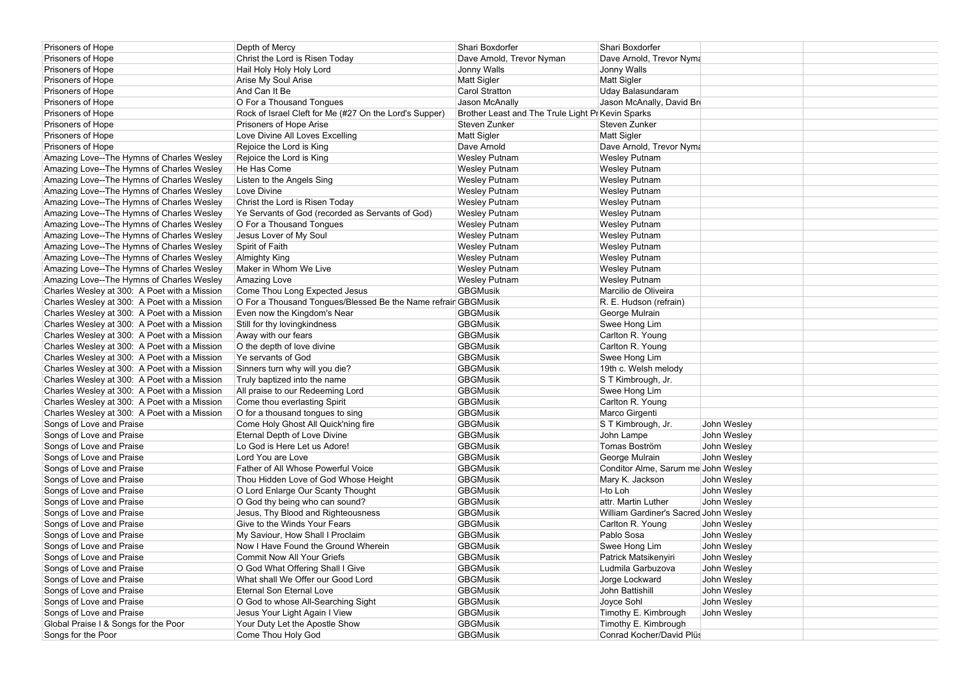| Prisoners of Hope                            | Depth of Mercy                                                | Shari Boxdorfer                                   | Shari Boxdorfer                       |             |  |
|----------------------------------------------|---------------------------------------------------------------|---------------------------------------------------|---------------------------------------|-------------|--|
| Prisoners of Hope                            | Christ the Lord is Risen Today                                | Dave Arnold, Trevor Nyman                         | Dave Arnold, Trevor Nyma              |             |  |
| Prisoners of Hope                            | Hail Holy Holy Holy Lord                                      | Jonny Walls                                       | Jonny Walls                           |             |  |
| Prisoners of Hope                            | Arise My Soul Arise                                           | Matt Sigler                                       | Matt Sigler                           |             |  |
| Prisoners of Hope                            | And Can It Be                                                 | Carol Stratton                                    | Uday Balasundaram                     |             |  |
| Prisoners of Hope                            | O For a Thousand Tongues                                      | Jason McAnally                                    | Jason McAnally, David Br              |             |  |
| Prisoners of Hope                            | Rock of Israel Cleft for Me (#27 On the Lord's Supper)        | Brother Least and The Trule Light Pr Kevin Sparks |                                       |             |  |
| Prisoners of Hope                            | Prisoners of Hope Arise                                       | Steven Zunker                                     | Steven Zunker                         |             |  |
| Prisoners of Hope                            | Love Divine All Loves Excelling                               | <b>Matt Sigler</b>                                | Matt Sigler                           |             |  |
| Prisoners of Hope                            | Rejoice the Lord is King                                      | Dave Arnold                                       | Dave Arnold, Trevor Nyma              |             |  |
| Amazing Love--The Hymns of Charles Wesley    | Rejoice the Lord is King                                      | <b>Wesley Putnam</b>                              | <b>Wesley Putnam</b>                  |             |  |
| Amazing Love--The Hymns of Charles Wesley    | He Has Come                                                   | <b>Wesley Putnam</b>                              | <b>Wesley Putnam</b>                  |             |  |
| Amazing Love--The Hymns of Charles Wesley    | Listen to the Angels Sing                                     | <b>Wesley Putnam</b>                              | <b>Wesley Putnam</b>                  |             |  |
| Amazing Love--The Hymns of Charles Wesley    | Love Divine                                                   | <b>Wesley Putnam</b>                              | <b>Wesley Putnam</b>                  |             |  |
| Amazing Love--The Hymns of Charles Wesley    | Christ the Lord is Risen Today                                | <b>Wesley Putnam</b>                              | <b>Wesley Putnam</b>                  |             |  |
| Amazing Love--The Hymns of Charles Wesley    | Ye Servants of God (recorded as Servants of God)              | <b>Wesley Putnam</b>                              | <b>Wesley Putnam</b>                  |             |  |
| Amazing Love--The Hymns of Charles Wesley    | O For a Thousand Tongues                                      | <b>Wesley Putnam</b>                              | <b>Wesley Putnam</b>                  |             |  |
| Amazing Love--The Hymns of Charles Wesley    | Jesus Lover of My Soul                                        | <b>Wesley Putnam</b>                              | <b>Wesley Putnam</b>                  |             |  |
| Amazing Love--The Hymns of Charles Wesley    | Spirit of Faith                                               | <b>Wesley Putnam</b>                              | <b>Wesley Putnam</b>                  |             |  |
| Amazing Love--The Hymns of Charles Wesley    | Almighty King                                                 | <b>Wesley Putnam</b>                              | <b>Wesley Putnam</b>                  |             |  |
| Amazing Love--The Hymns of Charles Wesley    | Maker in Whom We Live                                         | <b>Wesley Putnam</b>                              | <b>Wesley Putnam</b>                  |             |  |
| Amazing Love--The Hymns of Charles Wesley    | Amazing Love                                                  | <b>Wesley Putnam</b>                              | <b>Wesley Putnam</b>                  |             |  |
| Charles Wesley at 300: A Poet with a Mission | Come Thou Long Expected Jesus                                 | <b>GBGMusik</b>                                   | Marcilio de Oliveira                  |             |  |
| Charles Wesley at 300: A Poet with a Mission | O For a Thousand Tongues/Blessed Be the Name refrair GBGMusik |                                                   | R. E. Hudson (refrain)                |             |  |
| Charles Wesley at 300: A Poet with a Mission | Even now the Kingdom's Near                                   | <b>GBGMusik</b>                                   | George Mulrain                        |             |  |
| Charles Wesley at 300: A Poet with a Mission | Still for thy lovingkindness                                  | <b>GBGMusik</b>                                   | Swee Hong Lim                         |             |  |
| Charles Wesley at 300: A Poet with a Mission | Away with our fears                                           | <b>GBGMusik</b>                                   | Carlton R. Young                      |             |  |
| Charles Wesley at 300: A Poet with a Mission | O the depth of love divine                                    | <b>GBGMusik</b>                                   | Carlton R. Young                      |             |  |
| Charles Wesley at 300: A Poet with a Mission | Ye servants of God                                            | <b>GBGMusik</b>                                   | Swee Hong Lim                         |             |  |
| Charles Wesley at 300: A Poet with a Mission | Sinners turn why will you die?                                | <b>GBGMusik</b>                                   | 19th c. Welsh melody                  |             |  |
| Charles Wesley at 300: A Poet with a Mission | Truly baptized into the name                                  | <b>GBGMusik</b>                                   | S T Kimbrough, Jr.                    |             |  |
| Charles Wesley at 300: A Poet with a Mission | All praise to our Redeeming Lord                              | <b>GBGMusik</b>                                   | Swee Hong Lim                         |             |  |
| Charles Wesley at 300: A Poet with a Mission | Come thou everlasting Spirit                                  | <b>GBGMusik</b>                                   | Carlton R. Young                      |             |  |
| Charles Wesley at 300: A Poet with a Mission | O for a thousand tongues to sing                              | <b>GBGMusik</b>                                   | Marco Girgenti                        |             |  |
| Songs of Love and Praise                     | Come Holy Ghost All Quick'ning fire                           | <b>GBGMusik</b>                                   | S T Kimbrough, Jr.                    | John Wesley |  |
| Songs of Love and Praise                     | Eternal Depth of Love Divine                                  | <b>GBGMusik</b>                                   | John Lampe                            | John Wesley |  |
| Songs of Love and Praise                     | Lo God is Here Let us Adore!                                  | <b>GBGMusik</b>                                   | Tomas Boström                         | John Wesley |  |
| Songs of Love and Praise                     | Lord You are Love                                             | <b>GBGMusik</b>                                   | George Mulrain                        | John Wesley |  |
| Songs of Love and Praise                     | Father of All Whose Powerful Voice                            | <b>GBGMusik</b>                                   | Conditor Alme, Sarum me John Wesley   |             |  |
| Songs of Love and Praise                     | Thou Hidden Love of God Whose Height                          | <b>GBGMusik</b>                                   | Mary K. Jackson                       | John Wesley |  |
| Songs of Love and Praise                     | O Lord Enlarge Our Scanty Thought                             | <b>GBGMusik</b>                                   | I-to Loh                              | John Wesley |  |
| Songs of Love and Praise                     | O God thy being who can sound?                                | <b>GBGMusik</b>                                   | attr. Martin Luther                   | John Wesley |  |
| Songs of Love and Praise                     | Jesus, Thy Blood and Righteousness                            | <b>GBGMusik</b>                                   | William Gardiner's Sacred John Wesley |             |  |
| Songs of Love and Praise                     | Give to the Winds Your Fears                                  | <b>GBGMusik</b>                                   | Carlton R. Young                      | John Wesley |  |
| Songs of Love and Praise                     | My Saviour, How Shall I Proclaim                              | <b>GBGMusik</b>                                   | Pablo Sosa                            | John Wesley |  |
| Songs of Love and Praise                     | Now I Have Found the Ground Wherein                           | <b>GBGMusik</b>                                   | Swee Hong Lim                         | John Wesley |  |
| Songs of Love and Praise                     | <b>Commit Now All Your Griefs</b>                             | <b>GBGMusik</b>                                   | Patrick Matsikenyiri                  | John Wesley |  |
| Songs of Love and Praise                     | O God What Offering Shall I Give                              | <b>GBGMusik</b>                                   | Ludmila Garbuzova                     | John Wesley |  |
| Songs of Love and Praise                     | What shall We Offer our Good Lord                             | <b>GBGMusik</b>                                   | Jorge Lockward                        | John Wesley |  |
| Songs of Love and Praise                     | Eternal Son Eternal Love                                      | <b>GBGMusik</b>                                   | John Battishill                       | John Wesley |  |
| Songs of Love and Praise                     | O God to whose All-Searching Sight                            | <b>GBGMusik</b>                                   | Joyce Sohl                            | John Wesley |  |
| Songs of Love and Praise                     | Jesus Your Light Again I View                                 | <b>GBGMusik</b>                                   | Timothy E. Kimbrough                  | John Wesley |  |
| Global Praise I & Songs for the Poor         | Your Duty Let the Apostle Show                                | <b>GBGMusik</b>                                   | Timothy E. Kimbrough                  |             |  |
| Songs for the Poor                           | Come Thou Holy God                                            | <b>GBGMusik</b>                                   | Conrad Kocher/David Plüs              |             |  |
|                                              |                                                               |                                                   |                                       |             |  |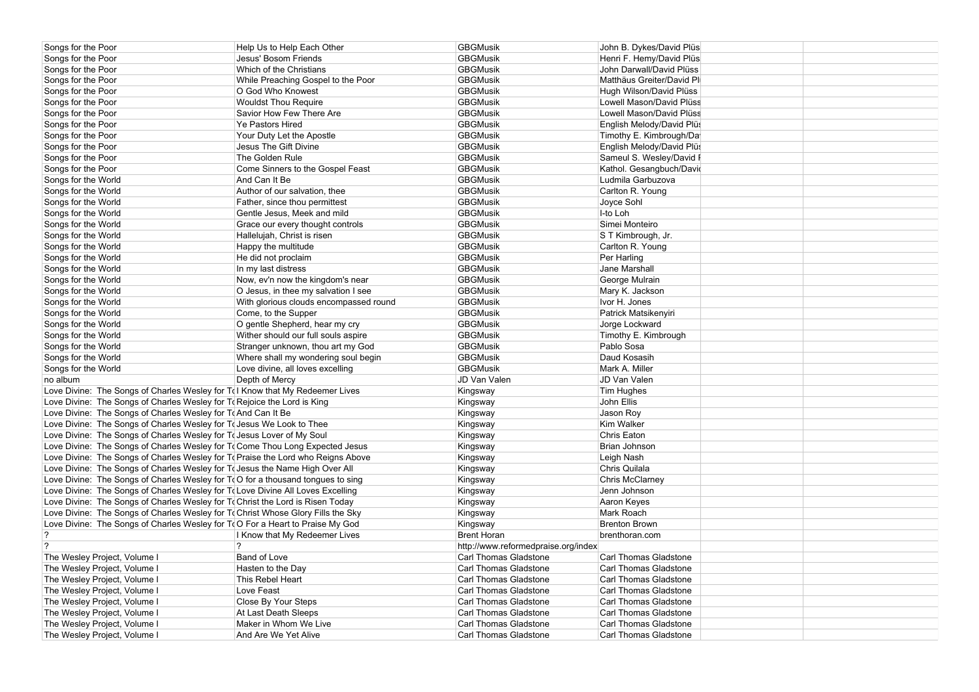| Songs for the Poor                                                               | Help Us to Help Each Other             | <b>GBGMusik</b>                     | John B. Dykes/David Plüs  |
|----------------------------------------------------------------------------------|----------------------------------------|-------------------------------------|---------------------------|
| Songs for the Poor                                                               | Jesus' Bosom Friends                   | <b>GBGMusik</b>                     | Henri F. Hemy/David Plüs  |
| Songs for the Poor                                                               | Which of the Christians                | <b>GBGMusik</b>                     | John Darwall/David Plüss  |
| Songs for the Poor                                                               | While Preaching Gospel to the Poor     | <b>GBGMusik</b>                     | Matthäus Greiter/David Pl |
| Songs for the Poor                                                               | O God Who Knowest                      | <b>GBGMusik</b>                     | Hugh Wilson/David Plüss   |
| Songs for the Poor                                                               | <b>Wouldst Thou Require</b>            | <b>GBGMusik</b>                     | Lowell Mason/David Plüss  |
| Songs for the Poor                                                               | Savior How Few There Are               | <b>GBGMusik</b>                     | Lowell Mason/David Plüss  |
| Songs for the Poor                                                               | <b>Ye Pastors Hired</b>                | <b>GBGMusik</b>                     | English Melody/David Plüs |
| Songs for the Poor                                                               | Your Duty Let the Apostle              | <b>GBGMusik</b>                     | Timothy E. Kimbrough/Da   |
| Songs for the Poor                                                               | Jesus The Gift Divine                  | <b>GBGMusik</b>                     | English Melody/David Plüs |
| Songs for the Poor                                                               | The Golden Rule                        | <b>GBGMusik</b>                     | Sameul S. Wesley/David F  |
| Songs for the Poor                                                               | Come Sinners to the Gospel Feast       | <b>GBGMusik</b>                     | Kathol. Gesangbuch/David  |
| Songs for the World                                                              | And Can It Be                          | <b>GBGMusik</b>                     | Ludmila Garbuzova         |
| Songs for the World                                                              | Author of our salvation, thee          | <b>GBGMusik</b>                     | Carlton R. Young          |
| Songs for the World                                                              | Father, since thou permittest          | <b>GBGMusik</b>                     | Joyce Sohl                |
| Songs for the World                                                              | Gentle Jesus, Meek and mild            | <b>GBGMusik</b>                     | I-to Loh                  |
| Songs for the World                                                              | Grace our every thought controls       | <b>GBGMusik</b>                     | Simei Monteiro            |
| Songs for the World                                                              | Hallelujah, Christ is risen            | <b>GBGMusik</b>                     | S T Kimbrough, Jr.        |
| Songs for the World                                                              | Happy the multitude                    | <b>GBGMusik</b>                     | Carlton R. Young          |
| Songs for the World                                                              | He did not proclaim                    | <b>GBGMusik</b>                     | Per Harling               |
| Songs for the World                                                              | In my last distress                    | <b>GBGMusik</b>                     | Jane Marshall             |
| Songs for the World                                                              | Now, ev'n now the kingdom's near       | <b>GBGMusik</b>                     | George Mulrain            |
| Songs for the World                                                              | O Jesus, in thee my salvation I see    | <b>GBGMusik</b>                     | Mary K. Jackson           |
| Songs for the World                                                              | With glorious clouds encompassed round | <b>GBGMusik</b>                     | Ivor H. Jones             |
| Songs for the World                                                              | Come, to the Supper                    | <b>GBGMusik</b>                     | Patrick Matsikenyiri      |
| Songs for the World                                                              | O gentle Shepherd, hear my cry         | <b>GBGMusik</b>                     | Jorge Lockward            |
| Songs for the World                                                              | Wither should our full souls aspire    | <b>GBGMusik</b>                     | Timothy E. Kimbrough      |
| Songs for the World                                                              | Stranger unknown, thou art my God      | <b>GBGMusik</b>                     | Pablo Sosa                |
| Songs for the World                                                              | Where shall my wondering soul begin    | <b>GBGMusik</b>                     | Daud Kosasih              |
| Songs for the World                                                              | Love divine, all loves excelling       | <b>GBGMusik</b>                     | Mark A. Miller            |
| no album                                                                         | Depth of Mercy                         | JD Van Valen                        | JD Van Valen              |
| Love Divine: The Songs of Charles Wesley for T(I Know that My Redeemer Lives     |                                        | Kingsway                            | Tim Hughes                |
| Love Divine: The Songs of Charles Wesley for To Rejoice the Lord is King         |                                        | Kingsway                            | John Ellis                |
| Love Divine: The Songs of Charles Wesley for To And Can It Be                    |                                        | Kingsway                            | Jason Roy                 |
| Love Divine: The Songs of Charles Wesley for To Jesus We Look to Thee            |                                        | Kingsway                            | Kim Walker                |
| Love Divine: The Songs of Charles Wesley for To Jesus Lover of My Soul           |                                        | Kingsway                            | Chris Eaton               |
| Love Divine: The Songs of Charles Wesley for To Come Thou Long Expected Jesus    |                                        | Kingsway                            | Brian Johnson             |
| Love Divine: The Songs of Charles Wesley for To Praise the Lord who Reigns Above |                                        | Kingsway                            | Leigh Nash                |
| Love Divine: The Songs of Charles Wesley for T(Jesus the Name High Over All      |                                        | Kingsway                            | Chris Quilala             |
| Love Divine: The Songs of Charles Wesley for T(O for a thousand tongues to sing  |                                        | Kingsway                            | Chris McClarney           |
| Love Divine: The Songs of Charles Wesley for T(Love Divine All Loves Excelling   |                                        | Kingsway                            | Jenn Johnson              |
| Love Divine: The Songs of Charles Wesley for To Christ the Lord is Risen Today   |                                        | Kingsway                            | Aaron Keyes               |
| Love Divine: The Songs of Charles Wesley for To Christ Whose Glory Fills the Sky |                                        | Kingsway                            | Mark Roach                |
| Love Divine: The Songs of Charles Wesley for T(O For a Heart to Praise My God    |                                        | Kingsway                            | <b>Brenton Brown</b>      |
| $\overline{?}$                                                                   | I Know that My Redeemer Lives          | <b>Brent Horan</b>                  | brenthoran.com            |
| $\overline{?}$                                                                   | $\gamma$                               | http://www.reformedpraise.org/index |                           |
| The Wesley Project, Volume I                                                     | Band of Love                           | Carl Thomas Gladstone               | Carl Thomas Gladstone     |
| The Wesley Project, Volume I                                                     | Hasten to the Day                      | Carl Thomas Gladstone               | Carl Thomas Gladstone     |
| The Wesley Project, Volume I                                                     | This Rebel Heart                       | Carl Thomas Gladstone               | Carl Thomas Gladstone     |
| The Wesley Project, Volume I                                                     | Love Feast                             | Carl Thomas Gladstone               | Carl Thomas Gladstone     |
| The Wesley Project, Volume I                                                     | Close By Your Steps                    | Carl Thomas Gladstone               | Carl Thomas Gladstone     |
| The Wesley Project, Volume I                                                     | At Last Death Sleeps                   | Carl Thomas Gladstone               | Carl Thomas Gladstone     |
| The Wesley Project, Volume I                                                     | Maker in Whom We Live                  | Carl Thomas Gladstone               | Carl Thomas Gladstone     |
| The Wesley Project, Volume I                                                     | And Are We Yet Alive                   | Carl Thomas Gladstone               | Carl Thomas Gladstone     |